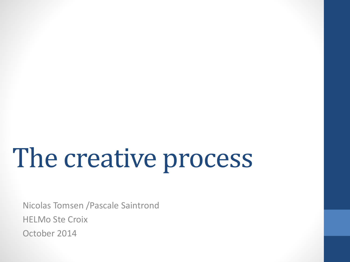# The creative process

Nicolas Tomsen /Pascale Saintrond HELMo Ste Croix October 2014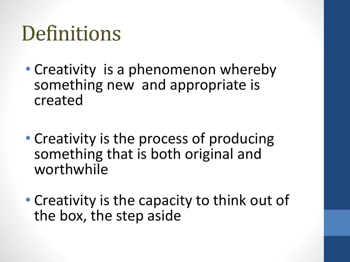### **Definitions**

- Creativity is a phenomenon whereby something new and appropriate is created
- Creativity is the process of producing something that is both original and worthwhile
- Creativity is the capacity to think out of the box, the step aside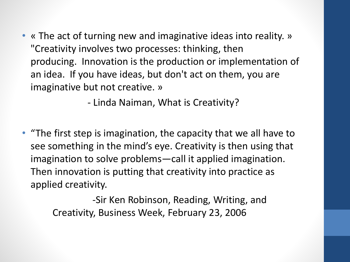• « The act of turning new and imaginative ideas into reality. » "Creativity involves two processes: thinking, then producing. Innovation is the production or implementation of an idea. If you have ideas, but don't act on them, you are imaginative but not creative. »

- Linda Naiman, What is Creativity?

• "The first step is imagination, the capacity that we all have to see something in the mind's eye. Creativity is then using that imagination to solve problems—call it applied imagination. Then innovation is putting that creativity into practice as applied creativity.

> -Sir Ken Robinson, Reading, Writing, and Creativity, Business Week, February 23, 2006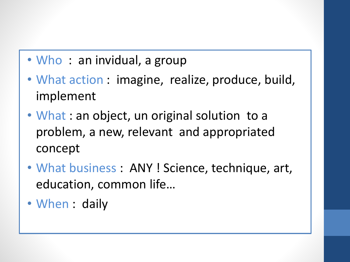- Who: an invidual, a group
- What action : imagine, realize, produce, build, implement
- What : an object, un original solution to a problem, a new, relevant and appropriated concept
- What business : ANY ! Science, technique, art, education, common life…
- When : daily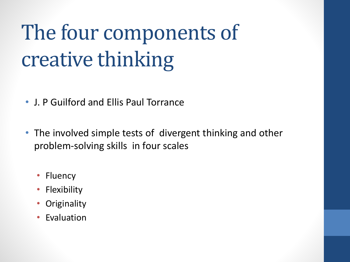# The four components of creative thinking

- J. P Guilford and Ellis Paul Torrance
- The involved simple tests of divergent thinking and other problem-solving skills in four scales
	- Fluency
	- Flexibility
	- **Originality**
	- Evaluation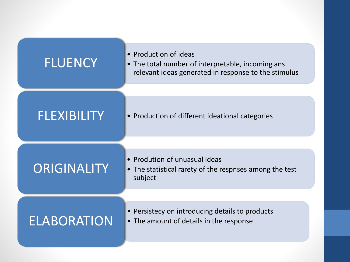| <b>FLUENCY</b>     | • Production of ideas<br>• The total number of interpretable, incoming ans<br>relevant ideas generated in response to the stimulus |
|--------------------|------------------------------------------------------------------------------------------------------------------------------------|
| <b>FLEXIBILITY</b> | • Production of different ideational categories                                                                                    |
| ORIGINALITY        | • Prodution of unuasual ideas<br>• The statistical rarety of the respnses among the test<br>subject                                |
| <b>ELABORATION</b> | • Persistecy on introducing details to products<br>• The amount of details in the response                                         |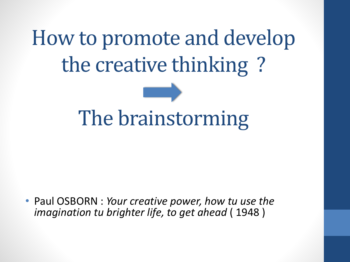How to promote and develop the creative thinking ?



• Paul OSBORN : *Your creative power, how tu use the imagination tu brighter life, to get ahead* ( 1948 )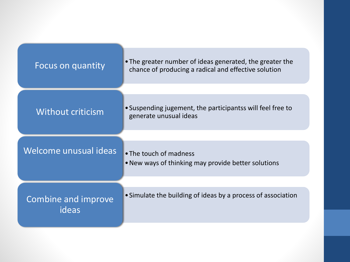| Focus on quantity            | • The greater number of ideas generated, the greater the<br>chance of producing a radical and effective solution |
|------------------------------|------------------------------------------------------------------------------------------------------------------|
|                              |                                                                                                                  |
| Without criticism            | • Suspending jugement, the participantss will feel free to<br>generate unusual ideas                             |
|                              |                                                                                                                  |
| Welcome unusual ideas        | • The touch of madness<br>• New ways of thinking may provide better solutions                                    |
|                              |                                                                                                                  |
| Combine and improve<br>ideas | • Simulate the building of ideas by a process of association                                                     |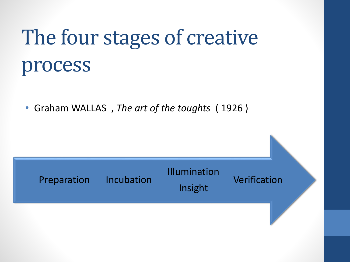## The four stages of creative process

• Graham WALLAS , *The art of the toughts* ( 1926 )

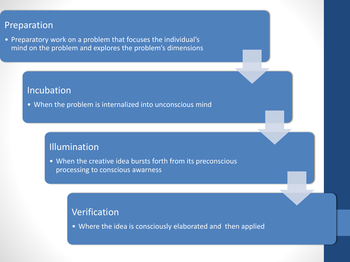#### Preparation

• Preparatory work on a problem that focuses the individual's mind on the problem and explores the problem's dimensions

#### **Incubation**

• When the problem is internalized into unconscious mind

#### Illumination

• When the creative idea bursts forth from its preconscious processing to conscious awarness

#### Verification

• Where the idea is consciously elaborated and then applied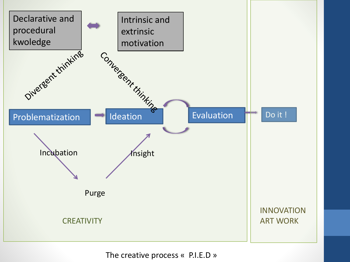

The creative process « P.I.E.D »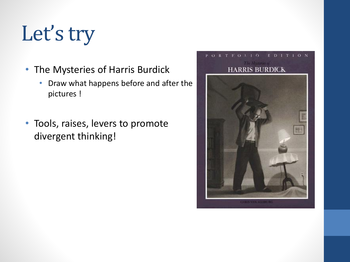## Let's try

- The Mysteries of Harris Burdick
	- Draw what happens before and after the pictures !
- Tools, raises, levers to promote divergent thinking!